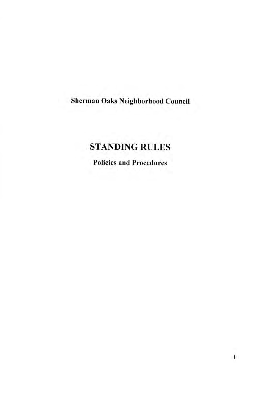## Sherman Oaks Neighborhood Council

# **STANDING RULES**

**Policies and Procedures**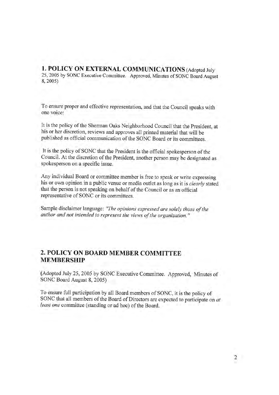1. POLICY ON EXTERNAL COMMUNICATIONS (Adopted July 25, 2005 by SONC Executive Committee. Approved, Minutes of SONC Board August 8,2005)

To ensure proper and effective representation, and that the Council speaks with one voice:

It is the policy of the Sherman Oaks Neighborhood Council that the President, at his or her discretion, reviews and approves all printed material that will be published as official communication of the SONC Board or its committees.

It is the policy of SONC that the President is the official spokesperson of the Council. At the discretion of the President, another person may be designated as spokesperson on a specific issue.

Any individual Board or committee member is free to speak or write expressing his or own opinion in a public venue or media outlet as long as it is *clearly* stated that the person is not speaking on behalf of the Council or as an official representative of SONC or its committees.

Sample disclaimer language: "The opinions expressed are solely those of the author and not intended to represent the views of the organization."

### 2. POLICY ON BOARD MEMBERCOMMITTEE MEMBERSHIP

(Adopted July 25, 2005 by SONC Executive Committee. Approved, Minutes of SONC Board August 8, 2005)

To ensure full participation by all Board members of SONC, it is the policy of SONC that all members of the Board of Directors are expected to participate on at least one committee (standing or ad hoc) of the Board.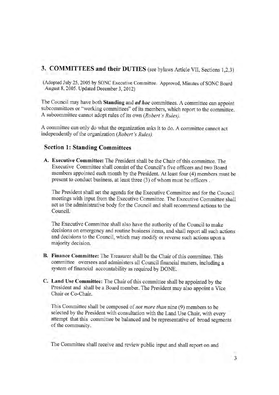## 3. COMMITTEES and their DUTIES (see bylaws Article VII, Sections 1,2,3)

(Adopted July 25, 2005 by SONC Executive Committee. Approved, Minutes of SONC Board August 8, 2005. Updated December 3, 2012)

The Council may have both Standing and *ad hoc* committees. A committee can appoint subcommittees or "working committees" of its members, which report to the committee. A subcommittee cannot adopt rules of its own (Robert's Rules).

A committee can only do what the organization asks it to do. A committee cannot act independently of the organization (Robert's Rules).

#### **Section 1: Standing Committees**

A. Executive Committee: The President shall be the Chair of this committee. The Executive Committee shall consist of the Council's five officers and two Board members appointed each month by the President. At least four (4) members must be present to conduct business, at least three (3) of whom must be officers.

The President shall set the agenda for the Executive Committee and for the Council meetings with input from the Executive Committee. The Executive Committee shall act as the administrative body for the Council and shall recommend actions to the Council.

The Executive Committee shall also have the authority of the Council to make decisions on emergency and routine business items, and shall report all such actions and decisions to the Council, which may modify or reverse such actions upon a majority decision.

- B. Finance Committee: The Treasurer shall be the Chair of this committee. This committee oversees and administers all Council financial matters, including a system of financial accountability as required by DONE.
- C. Land Use Committee: The Chair of this committee shall be appointed by the President and shall be a Board member. The President may also appoint a Vice Chair or Co-Chair.

This Committee shall be composed of not more than nine (9) members to be selected by the President with consultation with the Land Use Chair, with every attempt that this committee be balanced and be representative of broad segments of the community.

The Committee shall receive and review public input and shall report on and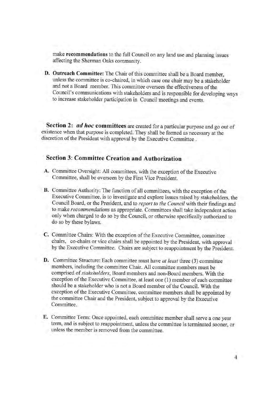make recommendations to the full Council on any land use and planning issues affecting the Sherman Oaks community.

D. Outreach Committee: The Chair of this committee shall be a Board member, unless the committee is co-chaired, in which case one chair may be a stakeholder and not a Board member. This committee oversees the effectiveness of the Council's communications with stakeholders and is responsible for developing ways to increase stakeholder participation in Council meetings and events.

Section 2: *ad hoc* committees are created for a particular purpose and go out of existence when that purpose is completed. They shall be formed as necessary at the discretion of the President with approval by the Executive Committee .

## Section 3: CommitteeCreation and Authorization

- A. Committee Oversight: All committees, with the exception of the Executive Committee, shall be overseen by the First Vice President.
- B. Committee Authority: The function of all committees, with the exception of the Executive Committee, is to investigate and explore issues raised by stakeholders, the Council Board, or the President, and to report to the Council with their findings and to make *recommendations* as appropriate. Committees shall take independent action onlywhen charged to do so by the Council, or otherwise specifically authorized to do so by these bylaws.
- C. Committee Chairs: With the exception of the Executive Committee, committee chairs, co-chairs or vice chairs shall be appointed by the President, with approval by the Executive Committee. Chairs are subject to reappointment by the President.
- D. Committee Structure: Each committee must have at least three (3) committee members, including the committee Chair. All committee members must be comprised of stakeholders, Board members and non-Board members. With the exception of the Executive Committee, at least one (1) member of each committee should be a stakeholder who is not a Board member of the Council. With the exception of the Executive Committee, committee members shall be appointed by the committee Chair and the President, subject to approval by the Executive Committee.
- E. Committee Term: Once appointed, each committee member shall serve a one year term, and is subject to reappointment, unless the committee is terminated sooner, or unless the member is removed from the committee.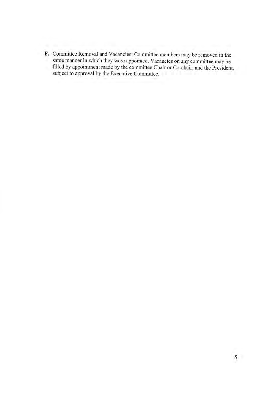F. Committee Removal and Vacancies: Committee members may be removed in the same manner in which they were appointed. Vacancies on any committee may be filled by appointment made by the committee Chair or Co-chair, and the President, subject to approval by the Executive Committee.